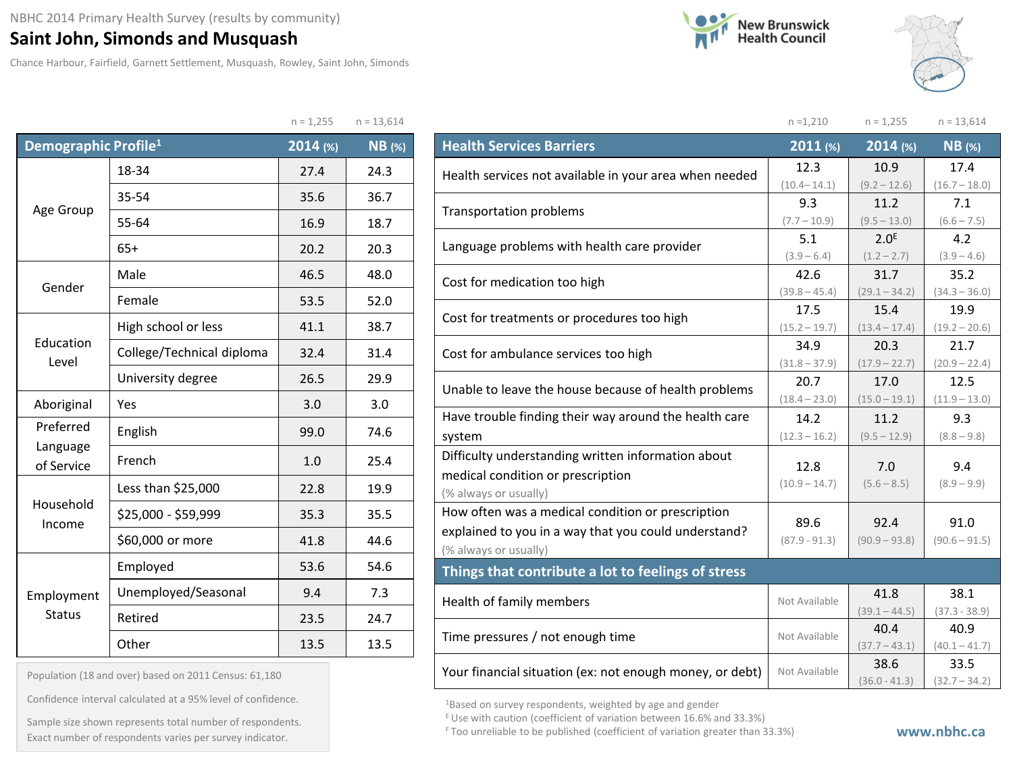## **Saint John, Simonds and Musquash**

Chance Harbour, Fairfield, Garnett Settlement, Musquash, Rowley, Saint John, Simonds





|                                  |                           | $n = 1,255$ | $n = 13,614$  |
|----------------------------------|---------------------------|-------------|---------------|
| Demographic Profile <sup>1</sup> |                           | 2014 (%)    | <b>NB</b> (%) |
|                                  | 18-34                     | 27.4        | 24.3          |
|                                  | 35-54                     | 35.6        | 36.7          |
| Age Group                        | 55-64                     | 16.9        | 18.7          |
|                                  | $65+$                     | 20.2        | 20.3          |
| Gender                           | Male                      | 46.5        | 48.0          |
|                                  | Female                    | 53.5        | 52.0          |
| Education<br>Level               | High school or less       | 41.1        | 38.7          |
|                                  | College/Technical diploma | 32.4        | 31.4          |
|                                  | University degree         | 26.5        | 29.9          |
| Aboriginal                       | Yes                       | 3.0         | 3.0           |
| Preferred                        | English                   | 99.0        | 74.6          |
| Language<br>of Service           | French                    | 1.0         | 25.4          |
|                                  | Less than \$25,000        | 22.8        | 19.9          |
| Household<br>Income              | \$25,000 - \$59,999       | 35.3        | 35.5          |
|                                  | \$60,000 or more          | 41.8        | 44.6          |
|                                  | Employed                  | 53.6        | 54.6          |
| Employment                       | Unemployed/Seasonal       | 9.4         | 7.3           |
| <b>Status</b>                    | Retired                   | 23.5        | 24.7          |
|                                  | Other                     | 13.5        | 13.5          |

| Population (18 and over) based on 2011 Census: 61,180 |  |  |  |  |  |  |  |
|-------------------------------------------------------|--|--|--|--|--|--|--|
|-------------------------------------------------------|--|--|--|--|--|--|--|

Confidence interval calculated at a 95% level of confidence.

Exact number of respondents varies per survey indicator. **Exact number of respondents varies per survey** indicator. Sample size shown represents total number of respondents.

|                                                          | $n = 1,210$          | $n = 1,255$                       | $n = 13,614$            |
|----------------------------------------------------------|----------------------|-----------------------------------|-------------------------|
| <b>Health Services Barriers</b>                          | 2011 (%)             | $2014$ (%)                        | $NB$ (%)                |
| Health services not available in your area when needed   | 12.3                 | 10.9                              | 17.4                    |
|                                                          | $(10.4 - 14.1)$      | $(9.2 - 12.6)$                    | $(16.7 - 18.0)$         |
| <b>Transportation problems</b>                           | 9.3                  | 11.2                              | 7.1                     |
|                                                          | $(7.7 - 10.9)$       | $(9.5 - 13.0)$                    | $(6.6 - 7.5)$           |
| Language problems with health care provider              | 5.1<br>$(3.9 - 6.4)$ | 2.0 <sup>E</sup><br>$(1.2 - 2.7)$ | 4.2<br>$(3.9 - 4.6)$    |
|                                                          | 42.6                 | 31.7                              | 35.2                    |
| Cost for medication too high                             | $(39.8 - 45.4)$      | $(29.1 - 34.2)$                   | $(34.3 - 36.0)$         |
|                                                          | 17.5                 | 15.4                              | 19.9                    |
| Cost for treatments or procedures too high               | $(15.2 - 19.7)$      | $(13.4 - 17.4)$                   | $(19.2 - 20.6)$         |
| Cost for ambulance services too high                     | 34.9                 | 20.3                              | 21.7                    |
|                                                          | $(31.8 - 37.9)$      | $(17.9 - 22.7)$                   | $(20.9 - 22.4)$         |
| Unable to leave the house because of health problems     | 20.7                 | 17.0                              | 12.5                    |
|                                                          | $(18.4 - 23.0)$      | $(15.0 - 19.1)$                   | $(11.9 - 13.0)$         |
| Have trouble finding their way around the health care    | 14.2                 | 11.2                              | 9.3                     |
| system                                                   | $(12.3 - 16.2)$      | $(9.5 - 12.9)$                    | $(8.8 - 9.8)$           |
| Difficulty understanding written information about       | 12.8                 | 7.0                               | 9.4                     |
| medical condition or prescription                        | $(10.9 - 14.7)$      | $(5.6 - 8.5)$                     | $(8.9 - 9.9)$           |
| (% always or usually)                                    |                      |                                   |                         |
| How often was a medical condition or prescription        | 89.6                 | 92.4                              | 91.0                    |
| explained to you in a way that you could understand?     | $(87.9 - 91.3)$      | $(90.9 - 93.8)$                   | $(90.6 - 91.5)$         |
| (% always or usually)                                    |                      |                                   |                         |
| Things that contribute a lot to feelings of stress       |                      |                                   |                         |
| Health of family members                                 | Not Available        | 41.8                              | 38.1                    |
|                                                          |                      | $(39.1 - 44.5)$                   | $(37.3 - 38.9)$         |
| Time pressures / not enough time                         | Not Available        | 40.4<br>$(37.7 - 43.1)$           | 40.9                    |
|                                                          |                      | 38.6                              | $(40.1 - 41.7)$<br>33.5 |
| Your financial situation (ex: not enough money, or debt) | Not Available        | $(36.0 - 41.3)$                   | $(32.7 - 34.2)$         |

1Based on survey respondents, weighted by age and gender

E Use with caution (coefficient of variation between 16.6% and 33.3%)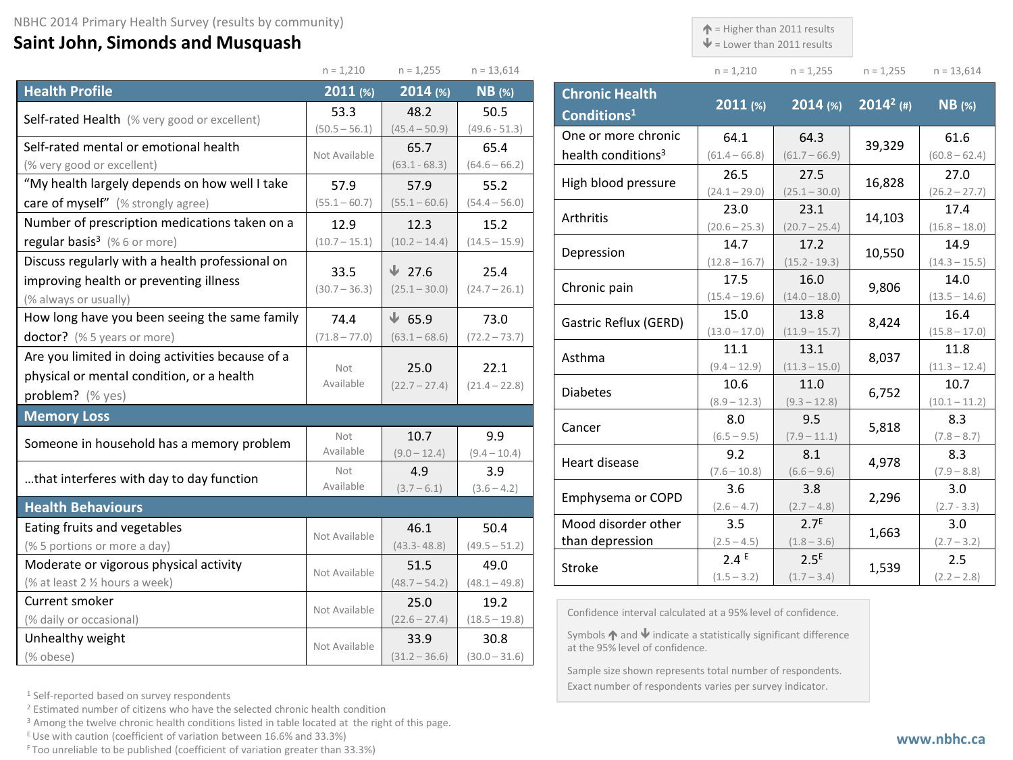## **Saint John, Simonds and Musquash**

 $\uparrow$  = Higher than 2011 results

 $\mathbf{\Psi}$  = Lower than 2011 results

**Chronic Health** 

| $n = 1.210$ | $n = 1,255$ | $n = 1.255$ | $n = 13,614$ |
|-------------|-------------|-------------|--------------|

|                                                  | $n = 1,210$             | $n = 1,255$     | $n = 13,614$            |
|--------------------------------------------------|-------------------------|-----------------|-------------------------|
| <b>Health Profile</b>                            | 2011 (%)                | 2014 (%)        | <b>NB</b> (%)           |
| Self-rated Health (% very good or excellent)     | 53.3                    | 48.2            | 50.5                    |
|                                                  | $(50.5 - 56.1)$         | $(45.4 - 50.9)$ | $(49.6 - 51.3)$         |
| Self-rated mental or emotional health            | Not Available           | 65.7            | 65.4                    |
| (% very good or excellent)                       |                         | $(63.1 - 68.3)$ | $(64.6 - 66.2)$         |
| "My health largely depends on how well I take    | 57.9                    | 57.9            | 55.2                    |
| care of myself" (% strongly agree)               | $(55.1 - 60.7)$         | $(55.1 - 60.6)$ | $(54.4 - 56.0)$         |
| Number of prescription medications taken on a    | 12.9                    | 12.3            | 15.2                    |
| regular basis <sup>3</sup> (%6 or more)          | $(10.7 - 15.1)$         | $(10.2 - 14.4)$ | $(14.5 - 15.9)$         |
| Discuss regularly with a health professional on  |                         | $\sqrt{27.6}$   |                         |
| improving health or preventing illness           | 33.5<br>$(30.7 - 36.3)$ | $(25.1 - 30.0)$ | 25.4<br>$(24.7 - 26.1)$ |
| (% always or usually)                            |                         |                 |                         |
| How long have you been seeing the same family    | 74.4                    | $\sqrt{65.9}$   | 73.0                    |
| doctor? (% 5 years or more)                      | $(71.8 - 77.0)$         | $(63.1 - 68.6)$ | $(72.2 - 73.7)$         |
| Are you limited in doing activities because of a |                         |                 |                         |
| physical or mental condition, or a health        | Not<br>Available        | 25.0            | 22.1                    |
| problem? (% yes)                                 |                         | $(22.7 - 27.4)$ | $(21.4 - 22.8)$         |
| <b>Memory Loss</b>                               |                         |                 |                         |
| Someone in household has a memory problem        | Not                     | 10.7            | 9.9                     |
|                                                  | Available               | $(9.0 - 12.4)$  | $(9.4 - 10.4)$          |
| that interferes with day to day function         | Not                     | 4.9             | 3.9                     |
|                                                  | Available               | $(3.7 - 6.1)$   | $(3.6 - 4.2)$           |
| <b>Health Behaviours</b>                         |                         |                 |                         |
| Eating fruits and vegetables                     | Not Available           | 46.1            | 50.4                    |
| (% 5 portions or more a day)                     |                         | $(43.3 - 48.8)$ | $(49.5 - 51.2)$         |
| Moderate or vigorous physical activity           | Not Available           | 51.5            | 49.0                    |
| (% at least 2 1/2 hours a week)                  |                         | $(48.7 - 54.2)$ | $(48.1 - 49.8)$         |
| Current smoker                                   | Not Available           | 25.0            | 19.2                    |
| (% daily or occasional)                          |                         | $(22.6 - 27.4)$ | $(18.5 - 19.8)$         |
| Unhealthy weight                                 | Not Available           | 33.9            | 30.8                    |
| (% obese)                                        |                         | $(31.2 - 36.6)$ | $(30.0 - 31.6)$         |

| Chronic Hearth<br>Conditions <sup>1</sup> | $2011$ (%)      | $2014$ (%)       | $2014^2$ (#) | <b>NB</b> (%)   |
|-------------------------------------------|-----------------|------------------|--------------|-----------------|
| One or more chronic                       | 64.1            | 64.3             |              | 61.6            |
| health conditions <sup>3</sup>            | $(61.4 - 66.8)$ | $(61.7 - 66.9)$  | 39,329       | $(60.8 - 62.4)$ |
| High blood pressure                       | 26.5            | 27.5             | 16,828       | 27.0            |
|                                           | $(24.1 - 29.0)$ | $(25.1 - 30.0)$  |              | $(26.2 - 27.7)$ |
| Arthritis                                 | 23.0            | 23.1             | 14,103       | 17.4            |
|                                           | $(20.6 - 25.3)$ | $(20.7 - 25.4)$  |              | $(16.8 - 18.0)$ |
| Depression                                | 14.7            | 17.2             | 10,550       | 14.9            |
|                                           | $(12.8 - 16.7)$ | $(15.2 - 19.3)$  |              | $(14.3 - 15.5)$ |
| Chronic pain                              | 17.5            | 16.0             | 9,806        | 14.0            |
|                                           | $(15.4 - 19.6)$ | $(14.0 - 18.0)$  |              | $(13.5 - 14.6)$ |
| Gastric Reflux (GERD)                     | 15.0            | 13.8             | 8,424        | 16.4            |
|                                           | $(13.0 - 17.0)$ | $(11.9 - 15.7)$  |              | $(15.8 - 17.0)$ |
| Asthma                                    | 11.1            | 13.1             | 8,037        | 11.8            |
|                                           | $(9.4 - 12.9)$  | $(11.3 - 15.0)$  |              | $(11.3 - 12.4)$ |
| <b>Diabetes</b>                           | 10.6            | 11.0             | 6,752        | 10.7            |
|                                           | $(8.9 - 12.3)$  | $(9.3 - 12.8)$   |              | $(10.1 - 11.2)$ |
| Cancer                                    | 8.0             | 9.5              | 5,818        | 8.3             |
|                                           | $(6.5 - 9.5)$   | $(7.9 - 11.1)$   |              | $(7.8 - 8.7)$   |
| Heart disease                             | 9.2             | 8.1              | 4,978        | 8.3             |
|                                           | $(7.6 - 10.8)$  | $(6.6 - 9.6)$    |              | $(7.9 - 8.8)$   |
| Emphysema or COPD                         | 3.6             | 3.8              | 2,296        | 3.0             |
|                                           | $(2.6 - 4.7)$   | $(2.7 - 4.8)$    |              | $(2.7 - 3.3)$   |
| Mood disorder other                       | 3.5             | 2.7 <sup>E</sup> | 1,663        | 3.0             |
| than depression                           | $(2.5 - 4.5)$   | $(1.8 - 3.6)$    |              | $(2.7 - 3.2)$   |
| Stroke                                    | 2.4E            | 2.5 <sup>E</sup> | 1,539        | 2.5             |
|                                           | $(1.5 - 3.2)$   | $(1.7 - 3.4)$    |              | $(2.2 - 2.8)$   |

Confidence interval calculated at a 95% level of confidence.

Symbols  $\bigwedge$  and  $\bigvee$  indicate a statistically significant difference at the 95% level of confidence.

Sample size shown represents total number of respondents. Exact number of respondents varies per survey indicator.

<sup>1</sup> Self-reported based on survey respondents

<sup>2</sup> Estimated number of citizens who have the selected chronic health condition

<sup>3</sup> Among the twelve chronic health conditions listed in table located at the right of this page.

 $E$  Use with caution (coefficient of variation between 16.6% and 33.3%)

F Too unreliable to be published (coefficient of variation greater than 33.3%)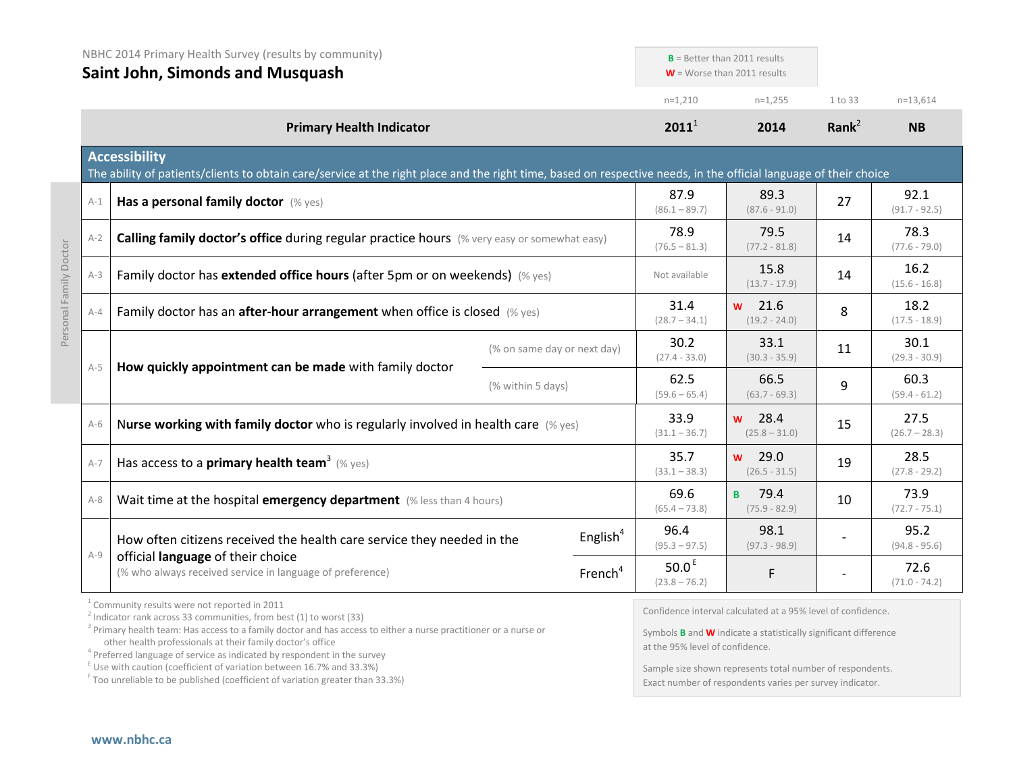|                        | NBHC 2014 Primary Health Survey (results by community)<br><b>Saint John, Simonds and Musquash</b> |                                                                                                                                                                                                                                                         |                             | $B =$ Better than 2011 results<br>$W =$ Worse than 2011 results |                                                                                                                                               |          |                         |
|------------------------|---------------------------------------------------------------------------------------------------|---------------------------------------------------------------------------------------------------------------------------------------------------------------------------------------------------------------------------------------------------------|-----------------------------|-----------------------------------------------------------------|-----------------------------------------------------------------------------------------------------------------------------------------------|----------|-------------------------|
|                        |                                                                                                   |                                                                                                                                                                                                                                                         |                             | $n=1,210$                                                       | $n=1,255$                                                                                                                                     | 1 to 33  | $n=13,614$              |
|                        |                                                                                                   | <b>Primary Health Indicator</b>                                                                                                                                                                                                                         |                             | $2011^1$                                                        | 2014                                                                                                                                          | Rank $2$ | <b>NB</b>               |
|                        | <b>Accessibility</b>                                                                              | The ability of patients/clients to obtain care/service at the right place and the right time, based on respective needs, in the official language of their choice                                                                                       |                             |                                                                 |                                                                                                                                               |          |                         |
|                        | $A-1$                                                                                             | Has a personal family doctor (% yes)                                                                                                                                                                                                                    |                             | 87.9<br>$(86.1 - 89.7)$                                         | 89.3<br>$(87.6 - 91.0)$                                                                                                                       | 27       | 92.1<br>$(91.7 - 92.5)$ |
|                        | $A-2$                                                                                             | <b>Calling family doctor's office during regular practice hours</b> (% very easy or somewhat easy)                                                                                                                                                      |                             | 78.9<br>$(76.5 - 81.3)$                                         | 79.5<br>$(77.2 - 81.8)$                                                                                                                       | 14       | 78.3<br>$(77.6 - 79.0)$ |
| Personal Family Doctor | $A-3$                                                                                             | Family doctor has extended office hours (after 5pm or on weekends) (% yes)                                                                                                                                                                              |                             |                                                                 | 15.8<br>$(13.7 - 17.9)$                                                                                                                       | 14       | 16.2<br>$(15.6 - 16.8)$ |
|                        | $A - 4$                                                                                           | Family doctor has an after-hour arrangement when office is closed (% yes)                                                                                                                                                                               |                             | 31.4<br>$(28.7 - 34.1)$                                         | $w$ 21.6<br>$(19.2 - 24.0)$                                                                                                                   | 8        | 18.2<br>$(17.5 - 18.9)$ |
|                        | $A-5$                                                                                             | How quickly appointment can be made with family doctor                                                                                                                                                                                                  | (% on same day or next day) | 30.2<br>$(27.4 - 33.0)$                                         | 33.1<br>$(30.3 - 35.9)$                                                                                                                       | 11       | 30.1<br>$(29.3 - 30.9)$ |
|                        |                                                                                                   |                                                                                                                                                                                                                                                         | (% within 5 days)           | 62.5<br>$(59.6 - 65.4)$                                         | 66.5<br>$(63.7 - 69.3)$                                                                                                                       | 9        | 60.3<br>$(59.4 - 61.2)$ |
|                        | $A-6$                                                                                             | Nurse working with family doctor who is regularly involved in health care (% yes)                                                                                                                                                                       |                             | 33.9<br>$(31.1 - 36.7)$                                         | $w$ 28.4<br>$(25.8 - 31.0)$                                                                                                                   | 15       | 27.5<br>$(26.7 - 28.3)$ |
|                        | $A-7$                                                                                             | Has access to a <b>primary health team</b> <sup>3</sup> (% yes)                                                                                                                                                                                         |                             | 35.7<br>$(33.1 - 38.3)$                                         | 29.0<br>W<br>$(26.5 - 31.5)$                                                                                                                  | 19       | 28.5<br>$(27.8 - 29.2)$ |
|                        | $A-8$                                                                                             | Wait time at the hospital emergency department (% less than 4 hours)                                                                                                                                                                                    |                             | 69.6<br>$(65.4 - 73.8)$                                         | <b>B</b> 79.4<br>$(75.9 - 82.9)$                                                                                                              | 10       | 73.9<br>$(72.7 - 75.1)$ |
|                        | $A-9$                                                                                             | How often citizens received the health care service they needed in the<br>official language of their choice<br>(% who always received service in language of preference)                                                                                | English $4$                 | 96.4<br>$(95.3 - 97.5)$                                         | 98.1<br>$(97.3 - 98.9)$                                                                                                                       |          | 95.2<br>$(94.8 - 95.6)$ |
|                        |                                                                                                   |                                                                                                                                                                                                                                                         | French <sup>4</sup>         | 50.0 $E$<br>$(23.8 - 76.2)$                                     | F                                                                                                                                             |          | 72.6<br>$(71.0 - 74.2)$ |
|                        |                                                                                                   | $1$ Community results were not reported in 2011<br>$2$ Indicator rank across 33 communities, from best (1) to worst (33)<br><sup>3</sup> Primary health team: Has access to a family doctor and has access to either a nurse practitioner or a nurse or |                             |                                                                 | Confidence interval calculated at a 95% level of confidence.<br>Symbols <b>B</b> and <b>W</b> indicate a statistically significant difference |          |                         |

other health professionals at their family doctor's office<br><sup>4</sup> Preferred language of service as indicated by respondent in the survey

 $E$  Use with caution (coefficient of variation between 16.7% and 33.3%)

<sup>F</sup> Too unreliable to be published (coefficient of variation greater than 33.3%)

at the 95% level of confidence.

Sample size shown represents total number of respondents. Exact number of respondents varies per survey indicator.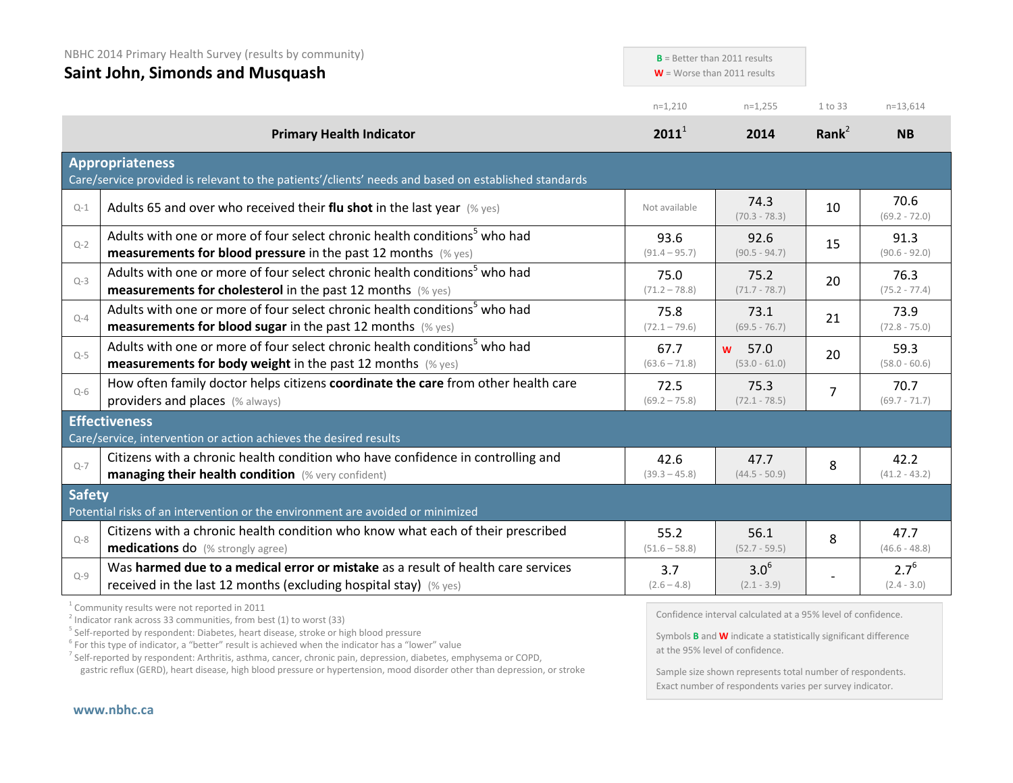| NBHC 2014 Primary Health Survey (results by community)<br><b>Saint John, Simonds and Musquash</b> |                                                                                                                                                                  | $B =$ Better than 2011 results<br>$W =$ Worse than 2011 results |                            |                   |                            |
|---------------------------------------------------------------------------------------------------|------------------------------------------------------------------------------------------------------------------------------------------------------------------|-----------------------------------------------------------------|----------------------------|-------------------|----------------------------|
|                                                                                                   |                                                                                                                                                                  | $n=1,210$                                                       | $n=1,255$                  | 1 to 33           | $n=13,614$                 |
|                                                                                                   | <b>Primary Health Indicator</b>                                                                                                                                  | $2011^1$                                                        | 2014                       | Rank <sup>2</sup> | <b>NB</b>                  |
|                                                                                                   | <b>Appropriateness</b><br>Care/service provided is relevant to the patients'/clients' needs and based on established standards                                   |                                                                 |                            |                   |                            |
| $Q-1$                                                                                             | Adults 65 and over who received their flu shot in the last year $(\%$ yes)                                                                                       | Not available                                                   | 74.3<br>$(70.3 - 78.3)$    | 10                | 70.6<br>$(69.2 - 72.0)$    |
| $Q-2$                                                                                             | Adults with one or more of four select chronic health conditions <sup>5</sup> who had<br><b>measurements for blood pressure</b> in the past 12 months $(\%$ yes) | 93.6<br>$(91.4 - 95.7)$                                         | 92.6<br>$(90.5 - 94.7)$    | 15                | 91.3<br>$(90.6 - 92.0)$    |
| $Q-3$                                                                                             | Adults with one or more of four select chronic health conditions <sup>5</sup> who had<br><b>measurements for cholesterol</b> in the past 12 months (% yes)       | 75.0<br>$(71.2 - 78.8)$                                         | 75.2<br>$(71.7 - 78.7)$    | 20                | 76.3<br>$(75.2 - 77.4)$    |
| $Q - 4$                                                                                           | Adults with one or more of four select chronic health conditions <sup>5</sup> who had<br>measurements for blood sugar in the past 12 months (% yes)              | 75.8<br>$(72.1 - 79.6)$                                         | 73.1<br>$(69.5 - 76.7)$    | 21                | 73.9<br>$(72.8 - 75.0)$    |
| $Q-5$                                                                                             | Adults with one or more of four select chronic health conditions <sup>5</sup> who had<br><b>measurements for body weight</b> in the past 12 months (% yes)       | 67.7<br>$(63.6 - 71.8)$                                         | w 57.0<br>$(53.0 - 61.0)$  | 20                | 59.3<br>$(58.0 - 60.6)$    |
| $Q-6$                                                                                             | How often family doctor helps citizens coordinate the care from other health care<br>providers and places (% always)                                             | 72.5<br>$(69.2 - 75.8)$                                         | 75.3<br>$(72.1 - 78.5)$    | $\overline{7}$    | 70.7<br>$(69.7 - 71.7)$    |
|                                                                                                   | <b>Effectiveness</b>                                                                                                                                             |                                                                 |                            |                   |                            |
|                                                                                                   | Care/service, intervention or action achieves the desired results                                                                                                |                                                                 |                            |                   |                            |
| $Q - 7$                                                                                           | Citizens with a chronic health condition who have confidence in controlling and<br>managing their health condition (% very confident)                            | 42.6<br>$(39.3 - 45.8)$                                         | 47.7<br>$(44.5 - 50.9)$    | 8                 | 42.2<br>$(41.2 - 43.2)$    |
| <b>Safety</b>                                                                                     | Potential risks of an intervention or the environment are avoided or minimized                                                                                   |                                                                 |                            |                   |                            |
| $Q - 8$                                                                                           | Citizens with a chronic health condition who know what each of their prescribed<br><b>medications do</b> (% strongly agree)                                      | 55.2<br>$(51.6 - 58.8)$                                         | 56.1<br>$(52.7 - 59.5)$    | 8                 | 47.7<br>$(46.6 - 48.8)$    |
| $Q - 9$                                                                                           | Was harmed due to a medical error or mistake as a result of health care services<br>received in the last 12 months (excluding hospital stay) $(\%$ yes)          | 3.7<br>$(2.6 - 4.8)$                                            | $3.0^{6}$<br>$(2.1 - 3.9)$ |                   | $2.7^{6}$<br>$(2.4 - 3.0)$ |
| $1 -$                                                                                             |                                                                                                                                                                  |                                                                 |                            |                   |                            |

<sup>1</sup> Community results were not reported in 2011

 $2$  Indicator rank across 33 communities, from best (1) to worst (33)

<sup>5</sup> Self-reported by respondent: Diabetes, heart disease, stroke or high blood pressure

 $6$  For this type of indicator, a "better" result is achieved when the indicator has a "lower" value

<sup>7</sup> Self-reported by respondent: Arthritis, asthma, cancer, chronic pain, depression, diabetes, emphysema or COPD,

gastric reflux (GERD), heart disease, high blood pressure or hypertension, mood disorder other than depression, or stroke

Confidence interval calculated at a 95% level of confidence.

Symbols **B** and **W** indicate a statistically significant difference at the 95% level of confidence.

Sample size shown represents total number of respondents. Exact number of respondents varies per survey indicator.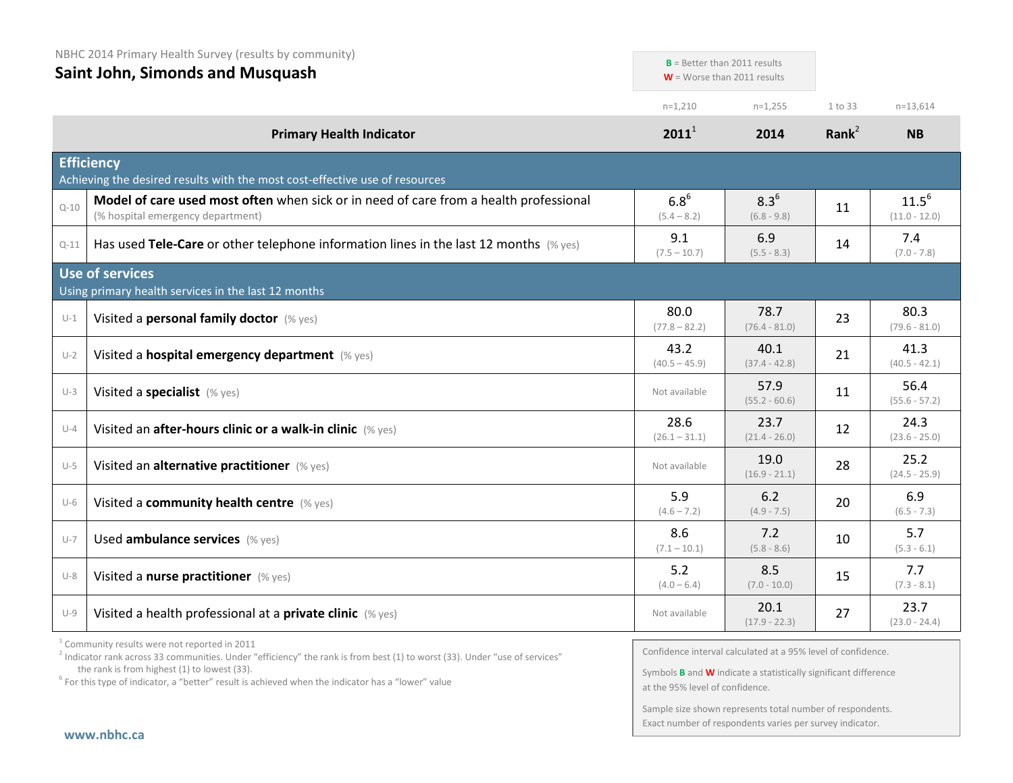|          | NBHC 2014 Primary Health Survey (results by community)<br><b>Saint John, Simonds and Musquash</b>                          |                            | $B =$ Better than 2011 results |                   |                               |
|----------|----------------------------------------------------------------------------------------------------------------------------|----------------------------|--------------------------------|-------------------|-------------------------------|
|          |                                                                                                                            |                            | $W =$ Worse than 2011 results  |                   |                               |
|          |                                                                                                                            | $n=1,210$                  | $n=1,255$                      | 1 to 33           | $n=13,614$                    |
|          | <b>Primary Health Indicator</b>                                                                                            | $2011^1$                   | 2014                           | Rank <sup>2</sup> | <b>NB</b>                     |
|          | <b>Efficiency</b><br>Achieving the desired results with the most cost-effective use of resources                           |                            |                                |                   |                               |
| $Q - 10$ | Model of care used most often when sick or in need of care from a health professional<br>(% hospital emergency department) | $6.8^{6}$<br>$(5.4 - 8.2)$ | $8.3^{6}$<br>$(6.8 - 9.8)$     | 11                | $11.5^{6}$<br>$(11.0 - 12.0)$ |
| $Q-11$   | Has used Tele-Care or other telephone information lines in the last 12 months $(\%$ yes)                                   | 9.1<br>$(7.5 - 10.7)$      | 6.9<br>$(5.5 - 8.3)$           | 14                | 7.4<br>$(7.0 - 7.8)$          |
|          | <b>Use of services</b><br>Using primary health services in the last 12 months                                              |                            |                                |                   |                               |
| $U-1$    | Visited a personal family doctor (% yes)                                                                                   | 80.0<br>$(77.8 - 82.2)$    | 78.7<br>$(76.4 - 81.0)$        | 23                | 80.3<br>$(79.6 - 81.0)$       |
| $U-2$    | Visited a hospital emergency department (% yes)                                                                            | 43.2<br>$(40.5 - 45.9)$    | 40.1<br>$(37.4 - 42.8)$        | 21                | 41.3<br>$(40.5 - 42.1)$       |
| $U-3$    | Visited a specialist (% yes)                                                                                               | Not available              | 57.9<br>$(55.2 - 60.6)$        | 11                | 56.4<br>$(55.6 - 57.2)$       |
| $U-4$    | Visited an after-hours clinic or a walk-in clinic (% yes)                                                                  | 28.6<br>$(26.1 - 31.1)$    | 23.7<br>$(21.4 - 26.0)$        | 12                | 24.3<br>$(23.6 - 25.0)$       |
| $U-5$    | Visited an alternative practitioner (% yes)                                                                                | Not available              | 19.0<br>$(16.9 - 21.1)$        | 28                | 25.2<br>$(24.5 - 25.9)$       |
| $U-6$    | Visited a community health centre (% yes)                                                                                  | 5.9<br>$(4.6 - 7.2)$       | 6.2<br>$(4.9 - 7.5)$           | 20                | 6.9<br>$(6.5 - 7.3)$          |
| $U-7$    | Used ambulance services (% yes)                                                                                            | 8.6<br>$(7.1 - 10.1)$      | 7.2<br>$(5.8 - 8.6)$           | 10                | 5.7<br>$(5.3 - 6.1)$          |
| $U-8$    | Visited a nurse practitioner (% yes)                                                                                       | 5.2<br>$(4.0 - 6.4)$       | 8.5<br>$(7.0 - 10.0)$          | 15                | 7.7<br>$(7.3 - 8.1)$          |
| $U-9$    | Visited a health professional at a private clinic (% yes)                                                                  | Not available              | 20.1<br>$(17.9 - 22.3)$        | 27                | 23.7<br>$(23.0 - 24.4)$       |

<sup>1</sup> Community results were not reported in 2011

Confidence interval calculated at a 95% level of confidence.

Symbols **B** and **W** indicate a statistically significant difference at the 95% level of confidence.

Sample size shown represents total number of respondents. Exact number of respondents varies per survey indicator.

<sup>&</sup>lt;sup>2</sup> Indicator rank across 33 communities. Under "efficiency" the rank is from best (1) to worst (33). Under "use of services" the rank is from highest (1) to lowest (33).

 $6$  For this type of indicator, a "better" result is achieved when the indicator has a "lower" value